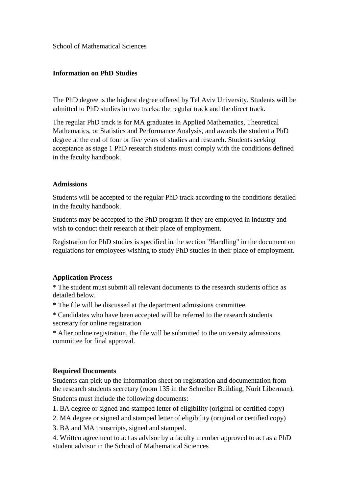School of Mathematical Sciences

## **Information on PhD Studies**

The PhD degree is the highest degree offered by Tel Aviv University. Students will be admitted to PhD studies in two tracks: the regular track and the direct track.

The regular PhD track is for MA graduates in Applied Mathematics, Theoretical Mathematics, or Statistics and Performance Analysis, and awards the student a PhD degree at the end of four or five years of studies and research. Students seeking acceptance as stage 1 PhD research students must comply with the conditions defined in the faculty handbook.

### **Admissions**

Students will be accepted to the regular PhD track according to the conditions detailed in the faculty handbook.

Students may be accepted to the PhD program if they are employed in industry and wish to conduct their research at their place of employment.

Registration for PhD studies is specified in the section "Handling" in the document on regulations for employees wishing to study PhD studies in their place of employment.

### **Application Process**

\* The student must submit all relevant documents to the research students office as detailed below.

- \* The file will be discussed at the department admissions committee.
- \* Candidates who have been accepted will be referred to the research students secretary for online registration

\* After online registration, the file will be submitted to the university admissions committee for final approval.

### **Required Documents**

Students can pick up the information sheet on registration and documentation from the research students secretary (room 135 in the Schreiber Building, Nurit Liberman). Students must include the following documents:

1. BA degree or signed and stamped letter of eligibility (original or certified copy)

2. MA degree or signed and stamped letter of eligibility (original or certified copy)

3. BA and MA transcripts, signed and stamped.

4. Written agreement to act as advisor by a faculty member approved to act as a PhD student advisor in the School of Mathematical Sciences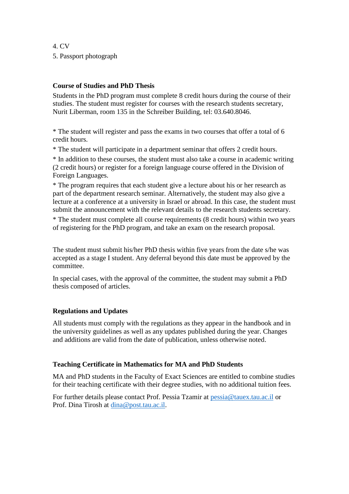4. CV 5. Passport photograph

## **Course of Studies and PhD Thesis**

Students in the PhD program must complete 8 credit hours during the course of their studies. The student must register for courses with the research students secretary, Nurit Liberman, room 135 in the Schreiber Building, tel: 03.640.8046.

\* The student will register and pass the exams in two courses that offer a total of 6 credit hours.

\* The student will participate in a department seminar that offers 2 credit hours.

\* In addition to these courses, the student must also take a course in academic writing (2 credit hours) or register for a foreign language course offered in the Division of Foreign Languages.

\* The program requires that each student give a lecture about his or her research as part of the department research seminar. Alternatively, the student may also give a lecture at a conference at a university in Israel or abroad. In this case, the student must submit the announcement with the relevant details to the research students secretary.

\* The student must complete all course requirements (8 credit hours) within two years of registering for the PhD program, and take an exam on the research proposal.

The student must submit his/her PhD thesis within five years from the date s/he was accepted as a stage I student. Any deferral beyond this date must be approved by the committee.

In special cases, with the approval of the committee, the student may submit a PhD thesis composed of articles.

### **Regulations and Updates**

All students must comply with the regulations as they appear in the handbook and in the university guidelines as well as any updates published during the year. Changes and additions are valid from the date of publication, unless otherwise noted.

### **Teaching Certificate in Mathematics for MA and PhD Students**

MA and PhD students in the Faculty of Exact Sciences are entitled to combine studies for their teaching certificate with their degree studies, with no additional tuition fees.

For further details please contact Prof. Pessia Tzamir at [pessia@tauex.tau.ac.il](mailto:pessia@tauex.tau.ac.il) or Prof. Dina Tirosh at [dina@post.tau.ac.il.](mailto:dina@post.tau.ac.il)